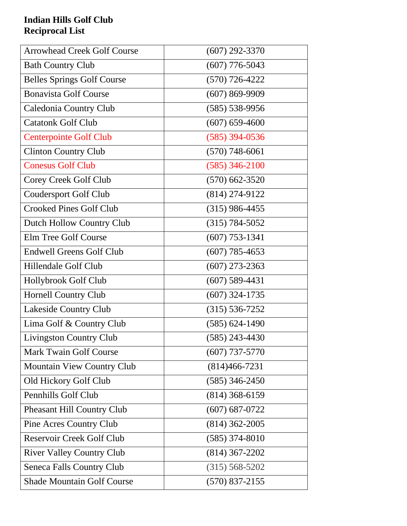## **Indian Hills Golf Club Reciprocal List**

| <b>Arrowhead Creek Golf Course</b> | $(607)$ 292-3370   |
|------------------------------------|--------------------|
| <b>Bath Country Club</b>           | $(607)$ 776-5043   |
| <b>Belles Springs Golf Course</b>  | $(570)$ 726-4222   |
| <b>Bonavista Golf Course</b>       | $(607) 869 - 9909$ |
| Caledonia Country Club             | $(585) 538 - 9956$ |
| <b>Catatonk Golf Club</b>          | $(607)$ 659-4600   |
| <b>Centerpointe Golf Club</b>      | $(585)$ 394-0536   |
| <b>Clinton Country Club</b>        | $(570)$ 748-6061   |
| <b>Conesus Golf Club</b>           | $(585)$ 346-2100   |
| Corey Creek Golf Club              | $(570)$ 662-3520   |
| <b>Coudersport Golf Club</b>       | $(814) 274 - 9122$ |
| <b>Crooked Pines Golf Club</b>     | $(315)$ 986-4455   |
| Dutch Hollow Country Club          | $(315) 784 - 5052$ |
| Elm Tree Golf Course               | $(607)$ 753-1341   |
| <b>Endwell Greens Golf Club</b>    | $(607)$ 785-4653   |
| Hillendale Golf Club               | $(607)$ 273-2363   |
| Hollybrook Golf Club               | $(607)$ 589-4431   |
| <b>Hornell Country Club</b>        | $(607)$ 324-1735   |
| Lakeside Country Club              | $(315) 536 - 7252$ |
| Lima Golf & Country Club           | $(585) 624 - 1490$ |
| <b>Livingston Country Club</b>     | $(585)$ 243-4430   |
| <b>Mark Twain Golf Course</b>      | $(607)$ 737-5770   |
| <b>Mountain View Country Club</b>  | $(814)466 - 7231$  |
| Old Hickory Golf Club              | $(585)$ 346-2450   |
| Pennhills Golf Club                | $(814)$ 368-6159   |
| Pheasant Hill Country Club         | $(607) 687 - 0722$ |
| Pine Acres Country Club            | $(814)$ 362-2005   |
| <b>Reservoir Creek Golf Club</b>   | $(585)$ 374-8010   |
| <b>River Valley Country Club</b>   | $(814)$ 367-2202   |
| <b>Seneca Falls Country Club</b>   | $(315) 568 - 5202$ |
| <b>Shade Mountain Golf Course</b>  | $(570)$ 837-2155   |